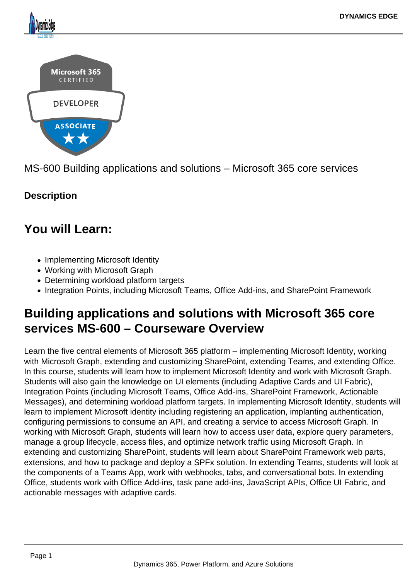

MS-600 Building applications and solutions – Microsoft 365 core services

## **Description**

## **You will Learn:**

- Implementing Microsoft Identity
- Working with Microsoft Graph
- Determining workload platform targets
- Integration Points, including Microsoft Teams, Office Add-ins, and SharePoint Framework

# **Building applications and solutions with Microsoft 365 core services MS-600 – Courseware Overview**

Learn the five central elements of Microsoft 365 platform – implementing Microsoft Identity, working with Microsoft Graph, extending and customizing SharePoint, extending Teams, and extending Office. In this course, students will learn how to implement Microsoft Identity and work with Microsoft Graph. Students will also gain the knowledge on UI elements (including Adaptive Cards and UI Fabric), Integration Points (including Microsoft Teams, Office Add-ins, SharePoint Framework, Actionable Messages), and determining workload platform targets. In implementing Microsoft Identity, students will learn to implement Microsoft identity including registering an application, implanting authentication, configuring permissions to consume an API, and creating a service to access Microsoft Graph. In working with Microsoft Graph, students will learn how to access user data, explore query parameters, manage a group lifecycle, access files, and optimize network traffic using Microsoft Graph. In extending and customizing SharePoint, students will learn about SharePoint Framework web parts, extensions, and how to package and deploy a SPFx solution. In extending Teams, students will look at the components of a Teams App, work with webhooks, tabs, and conversational bots. In extending Office, students work with Office Add-ins, task pane add-ins, JavaScript APIs, Office UI Fabric, and actionable messages with adaptive cards.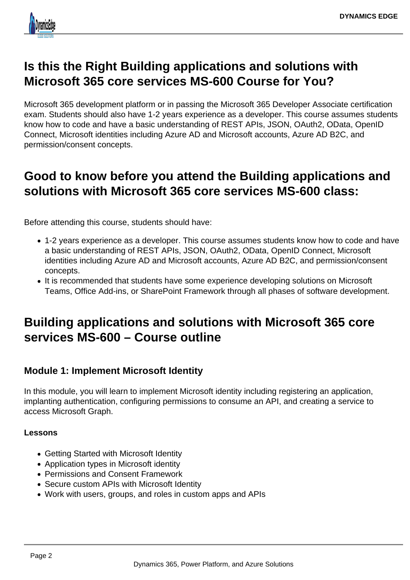

## **Is this the Right Building applications and solutions with Microsoft 365 core services MS-600 Course for You?**

Microsoft 365 development platform or in passing the Microsoft 365 Developer Associate certification exam. Students should also have 1-2 years experience as a developer. This course assumes students know how to code and have a basic understanding of REST APIs, JSON, OAuth2, OData, OpenID Connect, Microsoft identities including Azure AD and Microsoft accounts, Azure AD B2C, and permission/consent concepts.

## **Good to know before you attend the Building applications and solutions with Microsoft 365 core services MS-600 class:**

Before attending this course, students should have:

- 1-2 years experience as a developer. This course assumes students know how to code and have a basic understanding of REST APIs, JSON, OAuth2, OData, OpenID Connect, Microsoft identities including Azure AD and Microsoft accounts, Azure AD B2C, and permission/consent concepts.
- It is recommended that students have some experience developing solutions on Microsoft Teams, Office Add-ins, or SharePoint Framework through all phases of software development.

## **Building applications and solutions with Microsoft 365 core services MS-600 – Course outline**

### **Module 1: Implement Microsoft Identity**

In this module, you will learn to implement Microsoft identity including registering an application, implanting authentication, configuring permissions to consume an API, and creating a service to access Microsoft Graph.

#### **Lessons**

- Getting Started with Microsoft Identity
- Application types in Microsoft identity
- Permissions and Consent Framework
- Secure custom APIs with Microsoft Identity
- Work with users, groups, and roles in custom apps and APIs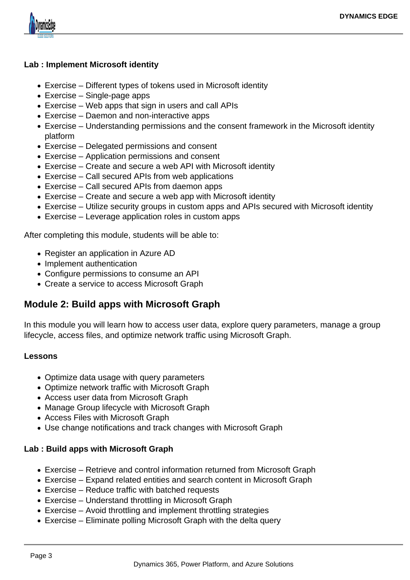

#### **Lab : Implement Microsoft identity**

- Exercise Different types of tokens used in Microsoft identity
- Exercise Single-page apps
- Exercise Web apps that sign in users and call APIs
- Exercise Daemon and non-interactive apps
- Exercise Understanding permissions and the consent framework in the Microsoft identity platform
- Exercise Delegated permissions and consent
- Exercise Application permissions and consent
- Exercise Create and secure a web API with Microsoft identity
- Exercise Call secured APIs from web applications
- Exercise Call secured APIs from daemon apps
- Exercise Create and secure a web app with Microsoft identity
- Exercise Utilize security groups in custom apps and APIs secured with Microsoft identity
- Exercise Leverage application roles in custom apps

After completing this module, students will be able to:

- Register an application in Azure AD
- Implement authentication
- Configure permissions to consume an API
- Create a service to access Microsoft Graph

### **Module 2: Build apps with Microsoft Graph**

In this module you will learn how to access user data, explore query parameters, manage a group lifecycle, access files, and optimize network traffic using Microsoft Graph.

#### **Lessons**

- Optimize data usage with query parameters
- Optimize network traffic with Microsoft Graph
- Access user data from Microsoft Graph
- Manage Group lifecycle with Microsoft Graph
- Access Files with Microsoft Graph
- Use change notifications and track changes with Microsoft Graph

#### **Lab : Build apps with Microsoft Graph**

- Exercise Retrieve and control information returned from Microsoft Graph
- Exercise Expand related entities and search content in Microsoft Graph
- Exercise Reduce traffic with batched requests
- Exercise Understand throttling in Microsoft Graph
- Exercise Avoid throttling and implement throttling strategies
- Exercise Eliminate polling Microsoft Graph with the delta query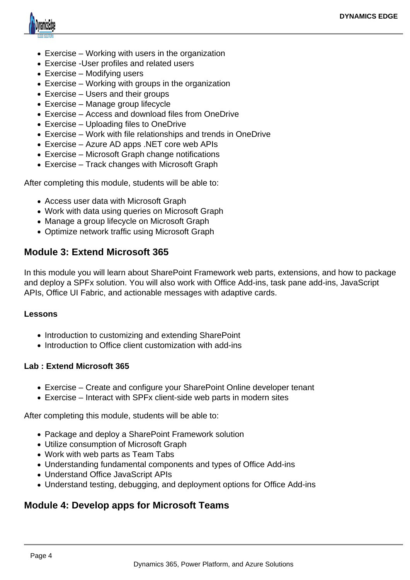

- Exercise Working with users in the organization
- Exercise -User profiles and related users
- Exercise Modifying users
- Exercise Working with groups in the organization
- Exercise Users and their groups
- Exercise Manage group lifecycle
- Exercise Access and download files from OneDrive
- Exercise Uploading files to OneDrive
- Exercise Work with file relationships and trends in OneDrive
- Exercise Azure AD apps .NET core web APIs
- Exercise Microsoft Graph change notifications
- Exercise Track changes with Microsoft Graph

After completing this module, students will be able to:

- Access user data with Microsoft Graph
- Work with data using queries on Microsoft Graph
- Manage a group lifecycle on Microsoft Graph
- Optimize network traffic using Microsoft Graph

### **Module 3: Extend Microsoft 365**

In this module you will learn about SharePoint Framework web parts, extensions, and how to package and deploy a SPFx solution. You will also work with Office Add-ins, task pane add-ins, JavaScript APIs, Office UI Fabric, and actionable messages with adaptive cards.

#### **Lessons**

- Introduction to customizing and extending SharePoint
- Introduction to Office client customization with add-ins

#### **Lab : Extend Microsoft 365**

- Exercise Create and configure your SharePoint Online developer tenant
- Exercise Interact with SPFx client-side web parts in modern sites

After completing this module, students will be able to:

- Package and deploy a SharePoint Framework solution
- Utilize consumption of Microsoft Graph
- Work with web parts as Team Tabs
- Understanding fundamental components and types of Office Add-ins
- Understand Office JavaScript APIs
- Understand testing, debugging, and deployment options for Office Add-ins

### **Module 4: Develop apps for Microsoft Teams**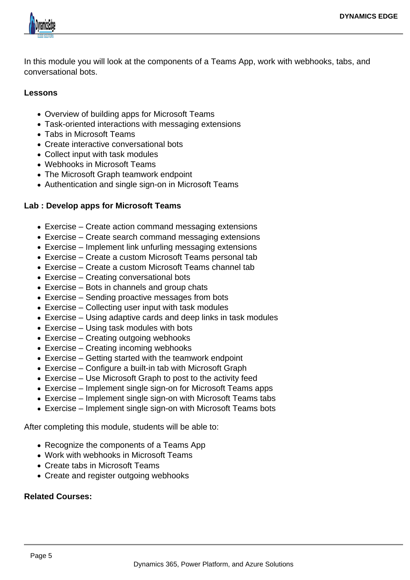

In this module you will look at the components of a Teams App, work with webhooks, tabs, and conversational bots.

#### **Lessons**

- Overview of building apps for Microsoft Teams
- Task-oriented interactions with messaging extensions
- Tabs in Microsoft Teams
- Create interactive conversational bots
- Collect input with task modules
- Webhooks in Microsoft Teams
- The Microsoft Graph teamwork endpoint
- Authentication and single sign-on in Microsoft Teams

#### **Lab : Develop apps for Microsoft Teams**

- Exercise Create action command messaging extensions
- Exercise Create search command messaging extensions
- Exercise Implement link unfurling messaging extensions
- Exercise Create a custom Microsoft Teams personal tab
- Exercise Create a custom Microsoft Teams channel tab
- Exercise Creating conversational bots
- Exercise Bots in channels and group chats
- Exercise Sending proactive messages from bots
- Exercise Collecting user input with task modules
- Exercise Using adaptive cards and deep links in task modules
- Exercise Using task modules with bots
- Exercise Creating outgoing webhooks
- Exercise Creating incoming webhooks
- Exercise Getting started with the teamwork endpoint
- Exercise Configure a built-in tab with Microsoft Graph
- Exercise Use Microsoft Graph to post to the activity feed
- Exercise Implement single sign-on for Microsoft Teams apps
- Exercise Implement single sign-on with Microsoft Teams tabs
- Exercise Implement single sign-on with Microsoft Teams bots

After completing this module, students will be able to:

- Recognize the components of a Teams App
- Work with webhooks in Microsoft Teams
- Create tabs in Microsoft Teams
- Create and register outgoing webhooks

#### **Related Courses:**